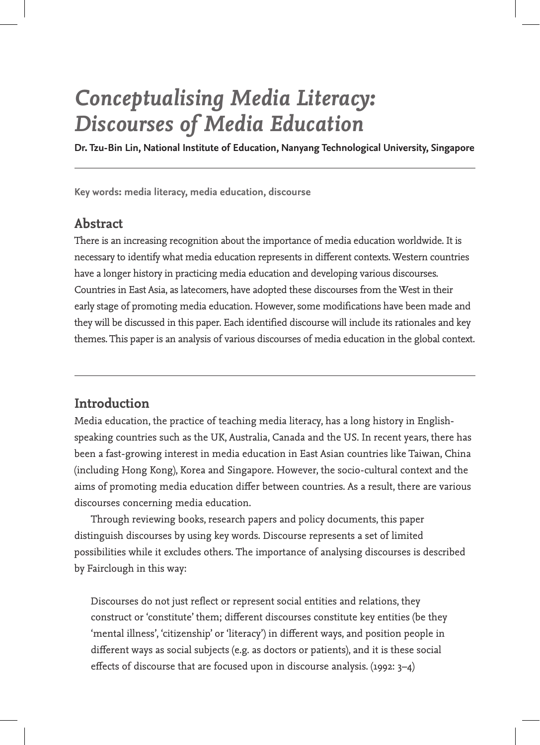# *Conceptualising Media Literacy: Discourses of Media Education*

**Dr. Tzu-Bin Lin, National Institute of Education, Nanyang Technological University, Singapore**

**Key words: media literacy, media education, discourse**

# **Abstract**

There is an increasing recognition about the importance of media education worldwide. It is necessary to identify what media education represents in different contexts. Western countries have a longer history in practicing media education and developing various discourses. Countries in East Asia, as latecomers, have adopted these discourses from the West in their early stage of promoting media education. However, some modifications have been made and they will be discussed in this paper. Each identified discourse will include its rationales and key themes. This paper is an analysis of various discourses of media education in the global context.

# **Introduction**

Media education, the practice of teaching media literacy, has a long history in Englishspeaking countries such as the UK, Australia, Canada and the US. In recent years, there has been a fast-growing interest in media education in East Asian countries like Taiwan, China (including Hong Kong), Korea and Singapore. However, the socio-cultural context and the aims of promoting media education differ between countries. As a result, there are various discourses concerning media education.

Through reviewing books, research papers and policy documents, this paper distinguish discourses by using key words. Discourse represents a set of limited possibilities while it excludes others. The importance of analysing discourses is described by Fairclough in this way:

Discourses do not just reflect or represent social entities and relations, they construct or 'constitute' them; different discourses constitute key entities (be they 'mental illness', 'citizenship' or 'literacy') in different ways, and position people in different ways as social subjects (e.g. as doctors or patients), and it is these social effects of discourse that are focused upon in discourse analysis. (1992: 3–4)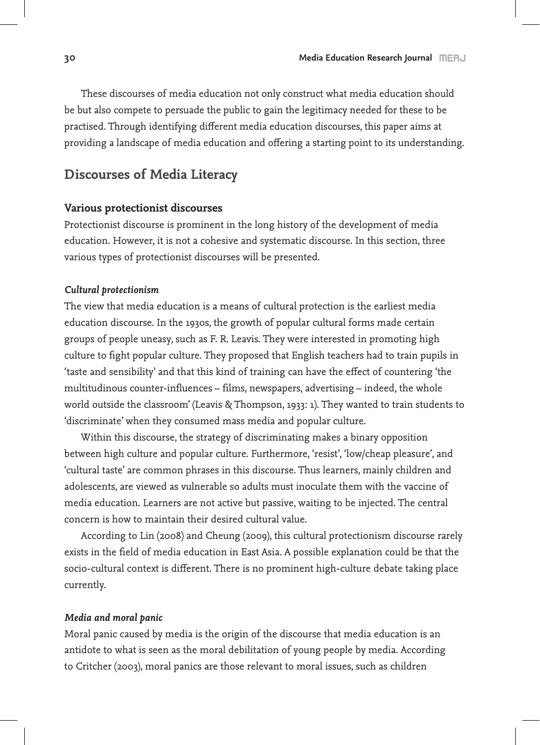These discourses of media education not only construct what media education should be but also compete to persuade the public to gain the legitimacy needed for these to be practised. Through identifying different media education discourses, this paper aims at providing a landscape of media education and offering a starting point to its understanding.

# **Discourses of Media Literacy**

## **Various protectionist discourses**

Protectionist discourse is prominent in the long history of the development of media education. However, it is not a cohesive and systematic discourse. In this section, three various types of protectionist discourses will be presented.

#### *Cultural protectionism*

The view that media education is a means of cultural protection is the earliest media education discourse. In the 1930s, the growth of popular cultural forms made certain groups of people uneasy, such as F. R. Leavis. They were interested in promoting high culture to fight popular culture. They proposed that English teachers had to train pupils in 'taste and sensibility' and that this kind of training can have the effect of countering 'the multitudinous counter-influences – films, newspapers, advertising – indeed, the whole world outside the classroom' (Leavis & Thompson, 1933: 1). They wanted to train students to 'discriminate' when they consumed mass media and popular culture.

Within this discourse, the strategy of discriminating makes a binary opposition between high culture and popular culture. Furthermore, 'resist', 'low/cheap pleasure', and 'cultural taste' are common phrases in this discourse. Thus learners, mainly children and adolescents, are viewed as vulnerable so adults must inoculate them with the vaccine of media education. Learners are not active but passive, waiting to be injected. The central concern is how to maintain their desired cultural value.

According to Lin (2008) and Cheung (2009), this cultural protectionism discourse rarely exists in the field of media education in East Asia. A possible explanation could be that the socio-cultural context is different. There is no prominent high-culture debate taking place currently.

#### *Media and moral panic*

Moral panic caused by media is the origin of the discourse that media education is an antidote to what is seen as the moral debilitation of young people by media. According to Critcher (2003), moral panics are those relevant to moral issues, such as children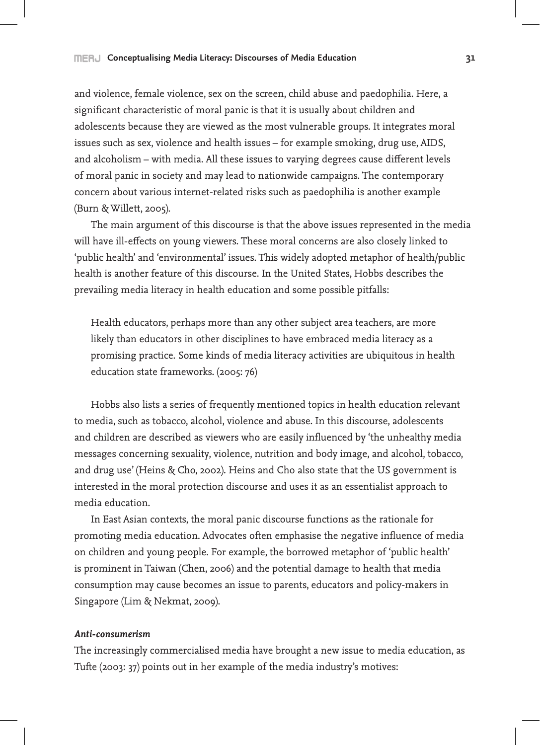and violence, female violence, sex on the screen, child abuse and paedophilia. Here, a significant characteristic of moral panic is that it is usually about children and adolescents because they are viewed as the most vulnerable groups. It integrates moral issues such as sex, violence and health issues – for example smoking, drug use, AIDS, and alcoholism – with media. All these issues to varying degrees cause different levels of moral panic in society and may lead to nationwide campaigns. The contemporary concern about various internet-related risks such as paedophilia is another example (Burn & Willett, 2005).

The main argument of this discourse is that the above issues represented in the media will have ill-effects on young viewers. These moral concerns are also closely linked to 'public health' and 'environmental' issues. This widely adopted metaphor of health/public health is another feature of this discourse. In the United States, Hobbs describes the prevailing media literacy in health education and some possible pitfalls:

Health educators, perhaps more than any other subject area teachers, are more likely than educators in other disciplines to have embraced media literacy as a promising practice. Some kinds of media literacy activities are ubiquitous in health education state frameworks. (2005: 76)

Hobbs also lists a series of frequently mentioned topics in health education relevant to media, such as tobacco, alcohol, violence and abuse. In this discourse, adolescents and children are described as viewers who are easily influenced by 'the unhealthy media messages concerning sexuality, violence, nutrition and body image, and alcohol, tobacco, and drug use' (Heins & Cho, 2002). Heins and Cho also state that the US government is interested in the moral protection discourse and uses it as an essentialist approach to media education.

In East Asian contexts, the moral panic discourse functions as the rationale for promoting media education. Advocates often emphasise the negative influence of media on children and young people. For example, the borrowed metaphor of 'public health' is prominent in Taiwan (Chen, 2006) and the potential damage to health that media consumption may cause becomes an issue to parents, educators and policy-makers in Singapore (Lim & Nekmat, 2009).

#### *Anti-consumerism*

The increasingly commercialised media have brought a new issue to media education, as Tufte (2003: 37) points out in her example of the media industry's motives: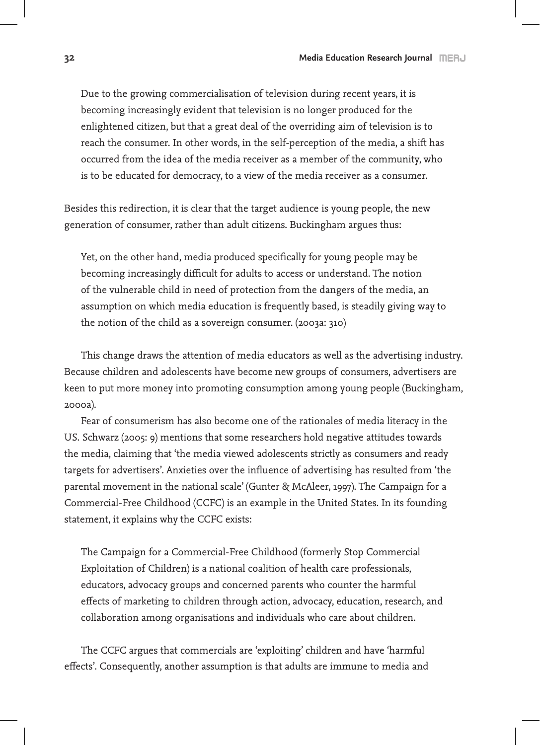Due to the growing commercialisation of television during recent years, it is becoming increasingly evident that television is no longer produced for the enlightened citizen, but that a great deal of the overriding aim of television is to reach the consumer. In other words, in the self-perception of the media, a shift has occurred from the idea of the media receiver as a member of the community, who is to be educated for democracy, to a view of the media receiver as a consumer.

Besides this redirection, it is clear that the target audience is young people, the new generation of consumer, rather than adult citizens. Buckingham argues thus:

Yet, on the other hand, media produced specifically for young people may be becoming increasingly difficult for adults to access or understand. The notion of the vulnerable child in need of protection from the dangers of the media, an assumption on which media education is frequently based, is steadily giving way to the notion of the child as a sovereign consumer. (2003a: 310)

This change draws the attention of media educators as well as the advertising industry. Because children and adolescents have become new groups of consumers, advertisers are keen to put more money into promoting consumption among young people (Buckingham, 2000a).

Fear of consumerism has also become one of the rationales of media literacy in the US. Schwarz (2005: 9) mentions that some researchers hold negative attitudes towards the media, claiming that 'the media viewed adolescents strictly as consumers and ready targets for advertisers'. Anxieties over the influence of advertising has resulted from 'the parental movement in the national scale' (Gunter & McAleer, 1997). The Campaign for a Commercial-Free Childhood (CCFC) is an example in the United States. In its founding statement, it explains why the CCFC exists:

The Campaign for a Commercial-Free Childhood (formerly Stop Commercial Exploitation of Children) is a national coalition of health care professionals, educators, advocacy groups and concerned parents who counter the harmful effects of marketing to children through action, advocacy, education, research, and collaboration among organisations and individuals who care about children.

The CCFC argues that commercials are 'exploiting' children and have 'harmful effects'. Consequently, another assumption is that adults are immune to media and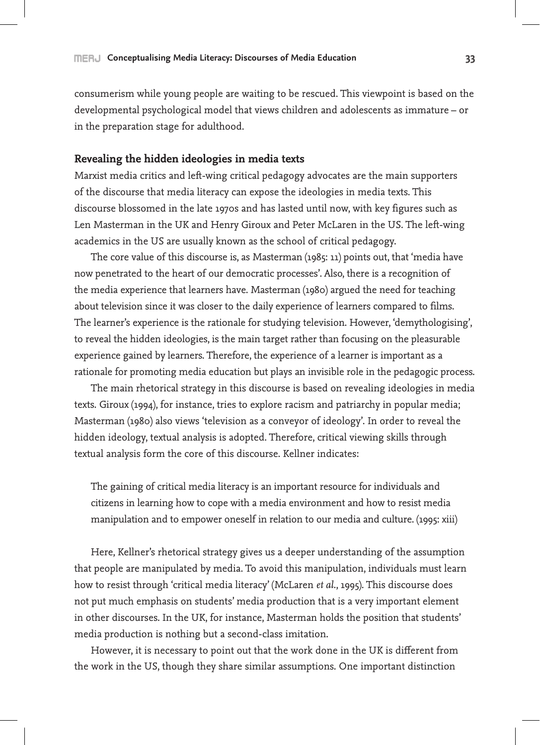consumerism while young people are waiting to be rescued. This viewpoint is based on the developmental psychological model that views children and adolescents as immature – or in the preparation stage for adulthood.

## **Revealing the hidden ideologies in media texts**

Marxist media critics and left-wing critical pedagogy advocates are the main supporters of the discourse that media literacy can expose the ideologies in media texts. This discourse blossomed in the late 1970s and has lasted until now, with key figures such as Len Masterman in the UK and Henry Giroux and Peter McLaren in the US. The left-wing academics in the US are usually known as the school of critical pedagogy.

The core value of this discourse is, as Masterman (1985: 11) points out, that 'media have now penetrated to the heart of our democratic processes'. Also, there is a recognition of the media experience that learners have. Masterman (1980) argued the need for teaching about television since it was closer to the daily experience of learners compared to films. The learner's experience is the rationale for studying television. However, 'demythologising', to reveal the hidden ideologies, is the main target rather than focusing on the pleasurable experience gained by learners. Therefore, the experience of a learner is important as a rationale for promoting media education but plays an invisible role in the pedagogic process.

The main rhetorical strategy in this discourse is based on revealing ideologies in media texts. Giroux (1994), for instance, tries to explore racism and patriarchy in popular media; Masterman (1980) also views 'television as a conveyor of ideology'. In order to reveal the hidden ideology, textual analysis is adopted. Therefore, critical viewing skills through textual analysis form the core of this discourse. Kellner indicates:

The gaining of critical media literacy is an important resource for individuals and citizens in learning how to cope with a media environment and how to resist media manipulation and to empower oneself in relation to our media and culture. (1995: xiii)

Here, Kellner's rhetorical strategy gives us a deeper understanding of the assumption that people are manipulated by media. To avoid this manipulation, individuals must learn how to resist through 'critical media literacy' (McLaren *et al*., 1995). This discourse does not put much emphasis on students' media production that is a very important element in other discourses. In the UK, for instance, Masterman holds the position that students' media production is nothing but a second-class imitation.

However, it is necessary to point out that the work done in the UK is different from the work in the US, though they share similar assumptions. One important distinction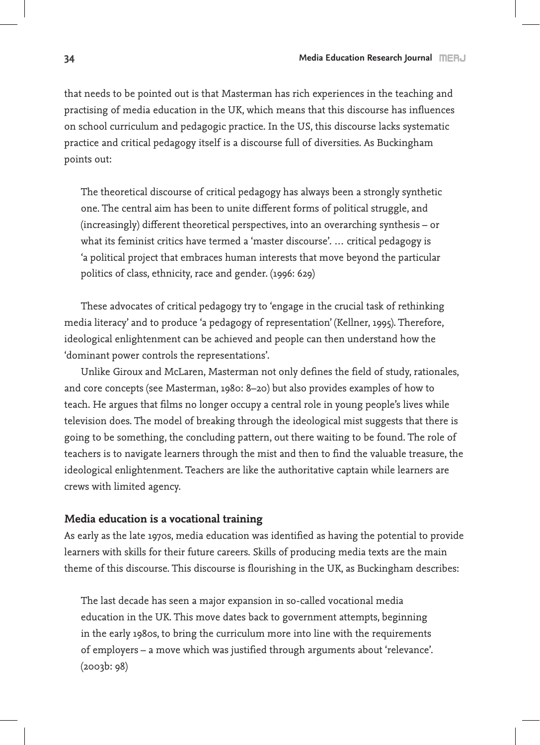that needs to be pointed out is that Masterman has rich experiences in the teaching and practising of media education in the UK, which means that this discourse has influences on school curriculum and pedagogic practice. In the US, this discourse lacks systematic practice and critical pedagogy itself is a discourse full of diversities. As Buckingham points out:

The theoretical discourse of critical pedagogy has always been a strongly synthetic one. The central aim has been to unite different forms of political struggle, and (increasingly) different theoretical perspectives, into an overarching synthesis – or what its feminist critics have termed a 'master discourse'. … critical pedagogy is 'a political project that embraces human interests that move beyond the particular politics of class, ethnicity, race and gender. (1996: 629)

These advocates of critical pedagogy try to 'engage in the crucial task of rethinking media literacy' and to produce 'a pedagogy of representation' (Kellner, 1995). Therefore, ideological enlightenment can be achieved and people can then understand how the 'dominant power controls the representations'.

Unlike Giroux and McLaren, Masterman not only defines the field of study, rationales, and core concepts (see Masterman, 1980: 8–20) but also provides examples of how to teach. He argues that films no longer occupy a central role in young people's lives while television does. The model of breaking through the ideological mist suggests that there is going to be something, the concluding pattern, out there waiting to be found. The role of teachers is to navigate learners through the mist and then to find the valuable treasure, the ideological enlightenment. Teachers are like the authoritative captain while learners are crews with limited agency.

#### **Media education is a vocational training**

As early as the late 1970s, media education was identified as having the potential to provide learners with skills for their future careers. Skills of producing media texts are the main theme of this discourse. This discourse is flourishing in the UK, as Buckingham describes:

The last decade has seen a major expansion in so-called vocational media education in the UK. This move dates back to government attempts, beginning in the early 1980s, to bring the curriculum more into line with the requirements of employers – a move which was justified through arguments about 'relevance'. (2003b: 98)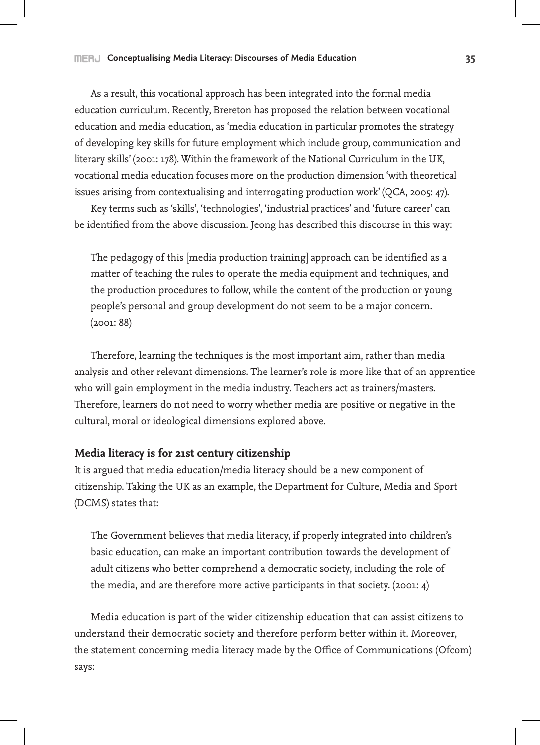As a result, this vocational approach has been integrated into the formal media education curriculum. Recently, Brereton has proposed the relation between vocational education and media education, as 'media education in particular promotes the strategy of developing key skills for future employment which include group, communication and literary skills' (2001: 178). Within the framework of the National Curriculum in the UK, vocational media education focuses more on the production dimension 'with theoretical issues arising from contextualising and interrogating production work' (QCA, 2005: 47).

Key terms such as 'skills', 'technologies', 'industrial practices' and 'future career' can be identified from the above discussion. Jeong has described this discourse in this way:

The pedagogy of this [media production training] approach can be identified as a matter of teaching the rules to operate the media equipment and techniques, and the production procedures to follow, while the content of the production or young people's personal and group development do not seem to be a major concern. (2001: 88)

Therefore, learning the techniques is the most important aim, rather than media analysis and other relevant dimensions. The learner's role is more like that of an apprentice who will gain employment in the media industry. Teachers act as trainers/masters. Therefore, learners do not need to worry whether media are positive or negative in the cultural, moral or ideological dimensions explored above.

## **Media literacy is for 21st century citizenship**

It is argued that media education/media literacy should be a new component of citizenship. Taking the UK as an example, the Department for Culture, Media and Sport (DCMS) states that:

The Government believes that media literacy, if properly integrated into children's basic education, can make an important contribution towards the development of adult citizens who better comprehend a democratic society, including the role of the media, and are therefore more active participants in that society. (2001: 4)

Media education is part of the wider citizenship education that can assist citizens to understand their democratic society and therefore perform better within it. Moreover, the statement concerning media literacy made by the Office of Communications (Ofcom) says: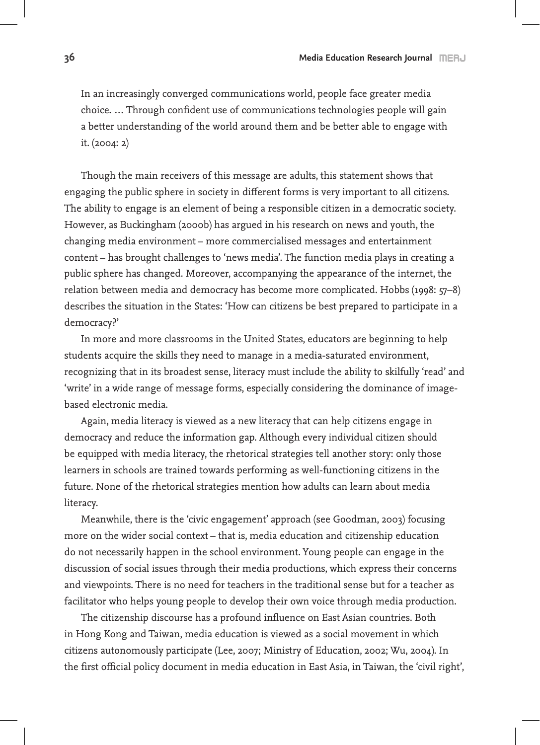In an increasingly converged communications world, people face greater media choice. … Through confident use of communications technologies people will gain a better understanding of the world around them and be better able to engage with it. (2004: 2)

Though the main receivers of this message are adults, this statement shows that engaging the public sphere in society in different forms is very important to all citizens. The ability to engage is an element of being a responsible citizen in a democratic society. However, as Buckingham (2000b) has argued in his research on news and youth, the changing media environment – more commercialised messages and entertainment content – has brought challenges to 'news media'. The function media plays in creating a public sphere has changed. Moreover, accompanying the appearance of the internet, the relation between media and democracy has become more complicated. Hobbs (1998: 57–8) describes the situation in the States: 'How can citizens be best prepared to participate in a democracy?'

In more and more classrooms in the United States, educators are beginning to help students acquire the skills they need to manage in a media-saturated environment, recognizing that in its broadest sense, literacy must include the ability to skilfully 'read' and 'write' in a wide range of message forms, especially considering the dominance of imagebased electronic media.

Again, media literacy is viewed as a new literacy that can help citizens engage in democracy and reduce the information gap. Although every individual citizen should be equipped with media literacy, the rhetorical strategies tell another story: only those learners in schools are trained towards performing as well-functioning citizens in the future. None of the rhetorical strategies mention how adults can learn about media literacy.

Meanwhile, there is the 'civic engagement' approach (see Goodman, 2003) focusing more on the wider social context – that is, media education and citizenship education do not necessarily happen in the school environment. Young people can engage in the discussion of social issues through their media productions, which express their concerns and viewpoints. There is no need for teachers in the traditional sense but for a teacher as facilitator who helps young people to develop their own voice through media production.

The citizenship discourse has a profound influence on East Asian countries. Both in Hong Kong and Taiwan, media education is viewed as a social movement in which citizens autonomously participate (Lee, 2007; Ministry of Education, 2002; Wu, 2004). In the first official policy document in media education in East Asia, in Taiwan, the 'civil right',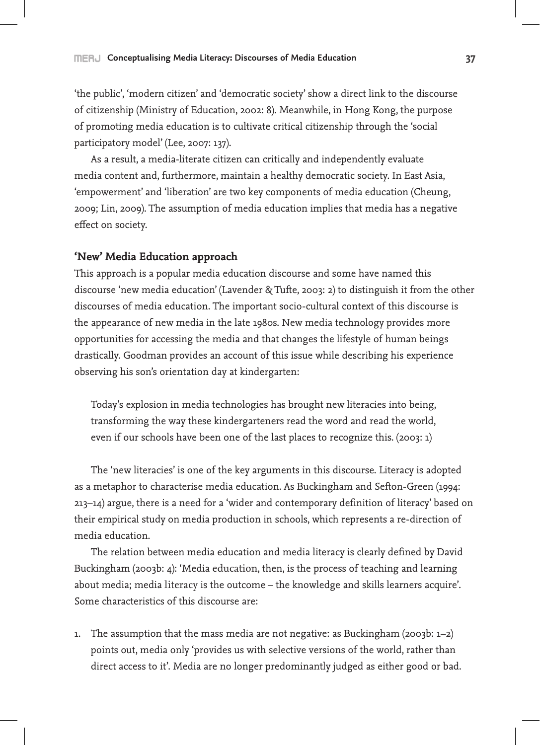'the public', 'modern citizen' and 'democratic society' show a direct link to the discourse of citizenship (Ministry of Education, 2002: 8). Meanwhile, in Hong Kong, the purpose of promoting media education is to cultivate critical citizenship through the 'social participatory model' (Lee, 2007: 137).

As a result, a media-literate citizen can critically and independently evaluate media content and, furthermore, maintain a healthy democratic society. In East Asia, 'empowerment' and 'liberation' are two key components of media education (Cheung, 2009; Lin, 2009). The assumption of media education implies that media has a negative effect on society.

### **'New' Media Education approach**

This approach is a popular media education discourse and some have named this discourse 'new media education' (Lavender & Tufte, 2003: 2) to distinguish it from the other discourses of media education. The important socio-cultural context of this discourse is the appearance of new media in the late 1980s. New media technology provides more opportunities for accessing the media and that changes the lifestyle of human beings drastically. Goodman provides an account of this issue while describing his experience observing his son's orientation day at kindergarten:

Today's explosion in media technologies has brought new literacies into being, transforming the way these kindergarteners read the word and read the world, even if our schools have been one of the last places to recognize this. (2003: 1)

The 'new literacies' is one of the key arguments in this discourse. Literacy is adopted as a metaphor to characterise media education. As Buckingham and Sefton-Green (1994: 213–14) argue, there is a need for a 'wider and contemporary definition of literacy' based on their empirical study on media production in schools, which represents a re-direction of media education.

The relation between media education and media literacy is clearly defined by David Buckingham (2003b: 4): 'Media education, then, is the process of teaching and learning about media; media literacy is the outcome – the knowledge and skills learners acquire'. Some characteristics of this discourse are:

1. The assumption that the mass media are not negative: as Buckingham (2003b:  $1-2$ ) points out, media only 'provides us with selective versions of the world, rather than direct access to it'. Media are no longer predominantly judged as either good or bad.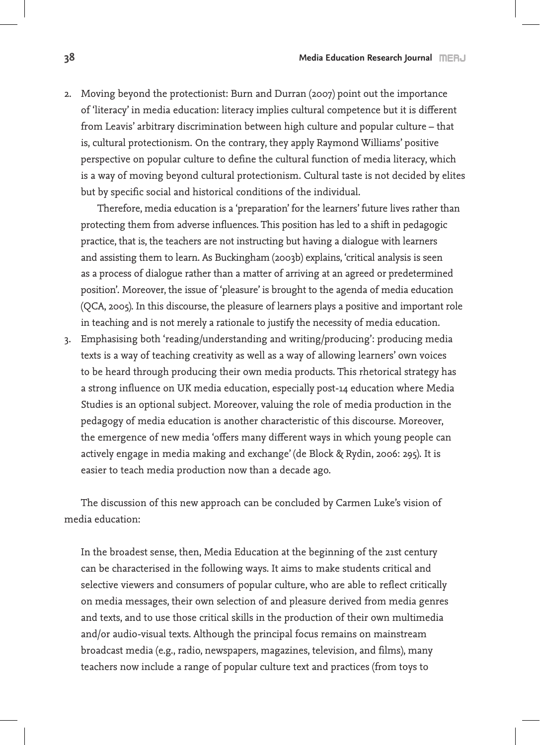2. Moving beyond the protectionist: Burn and Durran (2007) point out the importance of 'literacy' in media education: literacy implies cultural competence but it is different from Leavis' arbitrary discrimination between high culture and popular culture – that is, cultural protectionism. On the contrary, they apply Raymond Williams' positive perspective on popular culture to define the cultural function of media literacy, which is a way of moving beyond cultural protectionism. Cultural taste is not decided by elites but by specific social and historical conditions of the individual.

 Therefore, media education is a 'preparation' for the learners' future lives rather than protecting them from adverse influences. This position has led to a shift in pedagogic practice, that is, the teachers are not instructing but having a dialogue with learners and assisting them to learn. As Buckingham (2003b) explains, 'critical analysis is seen as a process of dialogue rather than a matter of arriving at an agreed or predetermined position'. Moreover, the issue of 'pleasure' is brought to the agenda of media education (QCA, 2005). In this discourse, the pleasure of learners plays a positive and important role in teaching and is not merely a rationale to justify the necessity of media education.

3. Emphasising both 'reading/understanding and writing/producing': producing media texts is a way of teaching creativity as well as a way of allowing learners' own voices to be heard through producing their own media products. This rhetorical strategy has a strong influence on UK media education, especially post-14 education where Media Studies is an optional subject. Moreover, valuing the role of media production in the pedagogy of media education is another characteristic of this discourse. Moreover, the emergence of new media 'offers many different ways in which young people can actively engage in media making and exchange' (de Block & Rydin, 2006: 295). It is easier to teach media production now than a decade ago.

The discussion of this new approach can be concluded by Carmen Luke's vision of media education:

In the broadest sense, then, Media Education at the beginning of the 21st century can be characterised in the following ways. It aims to make students critical and selective viewers and consumers of popular culture, who are able to reflect critically on media messages, their own selection of and pleasure derived from media genres and texts, and to use those critical skills in the production of their own multimedia and/or audio-visual texts. Although the principal focus remains on mainstream broadcast media (e.g., radio, newspapers, magazines, television, and films), many teachers now include a range of popular culture text and practices (from toys to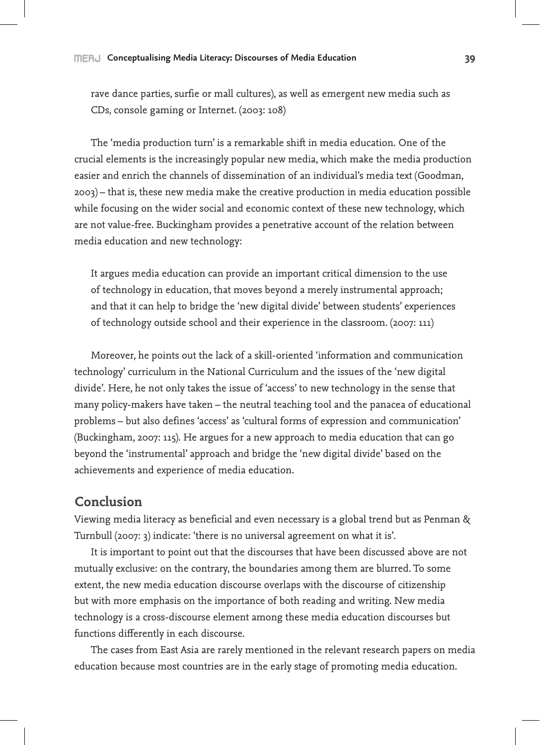#### **Conceptualising Media Literacy: Discourses of Media Education 39**

rave dance parties, surfie or mall cultures), as well as emergent new media such as CDs, console gaming or Internet. (2003: 108)

The 'media production turn' is a remarkable shift in media education. One of the crucial elements is the increasingly popular new media, which make the media production easier and enrich the channels of dissemination of an individual's media text (Goodman, 2003) – that is, these new media make the creative production in media education possible while focusing on the wider social and economic context of these new technology, which are not value-free. Buckingham provides a penetrative account of the relation between media education and new technology:

It argues media education can provide an important critical dimension to the use of technology in education, that moves beyond a merely instrumental approach; and that it can help to bridge the 'new digital divide' between students' experiences of technology outside school and their experience in the classroom. (2007: 111)

Moreover, he points out the lack of a skill-oriented 'information and communication technology' curriculum in the National Curriculum and the issues of the 'new digital divide'. Here, he not only takes the issue of 'access' to new technology in the sense that many policy-makers have taken – the neutral teaching tool and the panacea of educational problems – but also defines 'access' as 'cultural forms of expression and communication' (Buckingham, 2007: 115). He argues for a new approach to media education that can go beyond the 'instrumental' approach and bridge the 'new digital divide' based on the achievements and experience of media education.

## **Conclusion**

Viewing media literacy as beneficial and even necessary is a global trend but as Penman & Turnbull (2007: 3) indicate: 'there is no universal agreement on what it is'.

It is important to point out that the discourses that have been discussed above are not mutually exclusive: on the contrary, the boundaries among them are blurred. To some extent, the new media education discourse overlaps with the discourse of citizenship but with more emphasis on the importance of both reading and writing. New media technology is a cross-discourse element among these media education discourses but functions differently in each discourse.

The cases from East Asia are rarely mentioned in the relevant research papers on media education because most countries are in the early stage of promoting media education.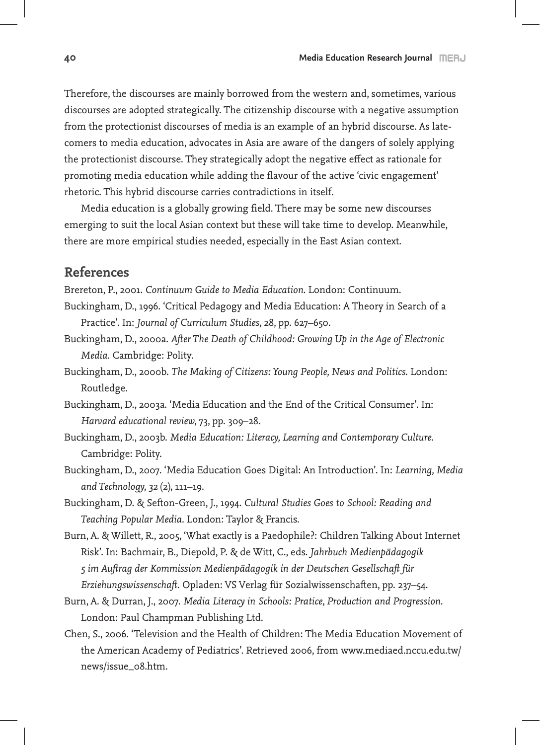Therefore, the discourses are mainly borrowed from the western and, sometimes, various discourses are adopted strategically. The citizenship discourse with a negative assumption from the protectionist discourses of media is an example of an hybrid discourse. As latecomers to media education, advocates in Asia are aware of the dangers of solely applying the protectionist discourse. They strategically adopt the negative effect as rationale for promoting media education while adding the flavour of the active 'civic engagement' rhetoric. This hybrid discourse carries contradictions in itself.

Media education is a globally growing field. There may be some new discourses emerging to suit the local Asian context but these will take time to develop. Meanwhile, there are more empirical studies needed, especially in the East Asian context.

# **References**

Brereton, P., 2001. *Continuum Guide to Media Education*. London: Continuum.

- Buckingham, D., 1996. 'Critical Pedagogy and Media Education: A Theory in Search of a Practice'. In: *Journal of Curriculum Studies,* 28, pp. 627–650.
- Buckingham, D., 2000a. *After The Death of Childhood: Growing Up in the Age of Electronic Media*. Cambridge: Polity.
- Buckingham, D., 2000b. *The Making of Citizens: Young People, News and Politics.* London: Routledge.
- Buckingham, D., 2003a. 'Media Education and the End of the Critical Consumer'. In: *Harvard educational review,* 73, pp. 309–28.
- Buckingham, D., 2003b. *Media Education: Literacy, Learning and Contemporary Culture*. Cambridge: Polity.
- Buckingham, D., 2007. 'Media Education Goes Digital: An Introduction'. In: *Learning, Media and Technology, 32* (2), 111–19.
- Buckingham, D. & Sefton-Green, J., 1994. *Cultural Studies Goes to School: Reading and Teaching Popular Media*. London: Taylor & Francis.
- Burn, A. & Willett, R., 2005, 'What exactly is a Paedophile?: Children Talking About Internet Risk'. In: Bachmair, B., Diepold, P. & de Witt, C., eds. *Jahrbuch Medienpädagogik 5 im Auftrag der Kommission Medienpädagogik in der Deutschen Gesellschaft für Erziehungswissenschaft*. Opladen: VS Verlag für Sozialwissenschaften, pp. 237–54.
- Burn, A. & Durran, J., 2007. *Media Literacy in Schools: Pratice, Production and Progression*. London: Paul Champman Publishing Ltd.
- Chen, S., 2006. 'Television and the Health of Children: The Media Education Movement of the American Academy of Pediatrics'. Retrieved 2006, from www.mediaed.nccu.edu.tw/ news/issue\_08.htm.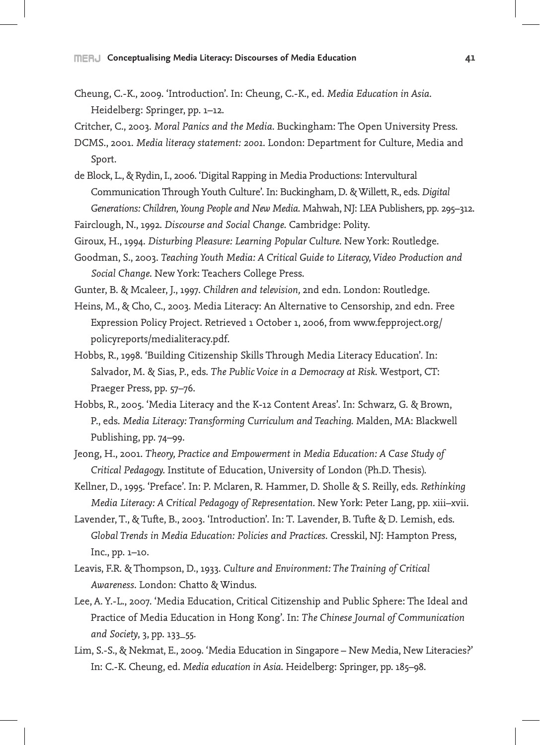- Cheung, C.-K., 2009. 'Introduction'. In: Cheung, C.-K., ed. *Media Education in Asia*. Heidelberg: Springer, pp. 1–12.
- Critcher, C., 2003. *Moral Panics and the Media*. Buckingham: The Open University Press.
- DCMS., 2001. *Media literacy statement: 2001*. London: Department for Culture, Media and Sport.
- de Block, L., & Rydin, I., 2006. 'Digital Rapping in Media Productions: Intervultural Communication Through Youth Culture'. In: Buckingham, D. & Willett, R., eds. *Digital Generations: Children, Young People and New Media*. Mahwah, NJ: LEA Publishers, pp. 295–312.
- Fairclough, N., 1992. *Discourse and Social Change*. Cambridge: Polity.
- Giroux, H., 1994. *Disturbing Pleasure: Learning Popular Culture.* New York: Routledge.
- Goodman, S., 2003. *Teaching Youth Media: A Critical Guide to Literacy, Video Production and Social Change*. New York: Teachers College Press.
- Gunter, B. & Mcaleer, J., 1997. *Children and television,* 2nd edn. London: Routledge.
- Heins, M., & Cho, C., 2003. Media Literacy: An Alternative to Censorship, 2nd edn. Free Expression Policy Project. Retrieved 1 October 1, 2006, from www.fepproject.org/ policyreports/medialiteracy.pdf.
- Hobbs, R., 1998. 'Building Citizenship Skills Through Media Literacy Education'. In: Salvador, M. & Sias, P., eds. *The Public Voice in a Democracy at Risk*. Westport, CT: Praeger Press, pp. 57–76.
- Hobbs, R., 2005. 'Media Literacy and the K-12 Content Areas'. In: Schwarz, G. & Brown, P., eds. *Media Literacy: Transforming Curriculum and Teaching.* Malden, MA: Blackwell Publishing, pp. 74–99.
- Jeong, H., 2001. *Theory, Practice and Empowerment in Media Education: A Case Study of Critical Pedagogy.* Institute of Education, University of London (Ph.D. Thesis).
- Kellner, D., 1995. 'Preface'. In: P. Mclaren, R. Hammer, D. Sholle & S. Reilly, eds. *Rethinking Media Literacy: A Critical Pedagogy of Representation.* New York: Peter Lang, pp. xiii–xvii.
- Lavender, T., & Tufte, B., 2003. 'Introduction'. In: T. Lavender, B. Tufte & D. Lemish, eds. *Global Trends in Media Education: Policies and Practices*. Cresskil, NJ: Hampton Press, Inc., pp. 1–10.
- Leavis, F.R. & Thompson, D., 1933. *Culture and Environment: The Training of Critical Awareness*. London: Chatto & Windus.
- Lee, A. Y.-L., 2007. 'Media Education, Critical Citizenship and Public Sphere: The Ideal and Practice of Media Education in Hong Kong'. In: *The Chinese Journal of Communication and Society*, 3, pp. 133\_55.
- Lim, S.-S., & Nekmat, E., 2009. 'Media Education in Singapore New Media, New Literacies?' In: C.-K. Cheung, ed. *Media education in Asia*. Heidelberg: Springer, pp. 185–98.